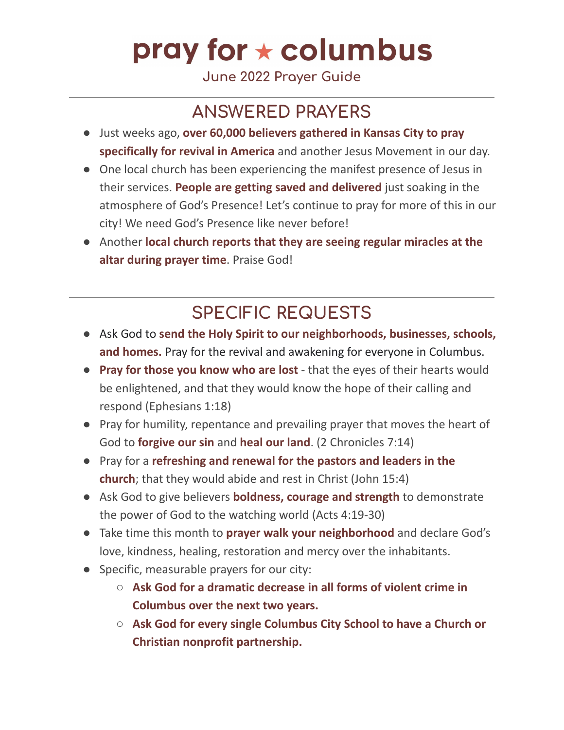## pray for  $\star$  columbus

**June 2022 Prayer Guide**

### **ANSWERED PRAYERS**

- Just weeks ago, **over 60,000 believers gathered in Kansas City to pray specifically for revival in America** and another Jesus Movement in our day.
- One local church has been experiencing the manifest presence of Jesus in their services. **People are getting saved and delivered** just soaking in the atmosphere of God's Presence! Let's continue to pray for more of this in our city! We need God's Presence like never before!
- Another **local church reports that they are seeing regular miracles at the altar during prayer time**. Praise God!

### **SPECIFIC REQUESTS**

- Ask God to **send the Holy Spirit to our neighborhoods, businesses, schools, and homes.** Pray for the revival and awakening for everyone in Columbus.
- **Pray for those you know who are lost** that the eyes of their hearts would be enlightened, and that they would know the hope of their calling and respond (Ephesians 1:18)
- Pray for humility, repentance and prevailing prayer that moves the heart of God to **forgive our sin** and **heal our land**. (2 Chronicles 7:14)
- Pray for a **refreshing and renewal for the pastors and leaders in the church**; that they would abide and rest in Christ (John 15:4)
- Ask God to give believers **boldness, courage and strength** to demonstrate the power of God to the watching world (Acts 4:19-30)
- Take time this month to **prayer walk your neighborhood** and declare God's love, kindness, healing, restoration and mercy over the inhabitants.
- Specific, measurable prayers for our city:
	- **Ask God for a dramatic decrease in all forms of violent crime in Columbus over the next two years.**
	- **Ask God for every single Columbus City School to have a Church or Christian nonprofit partnership.**